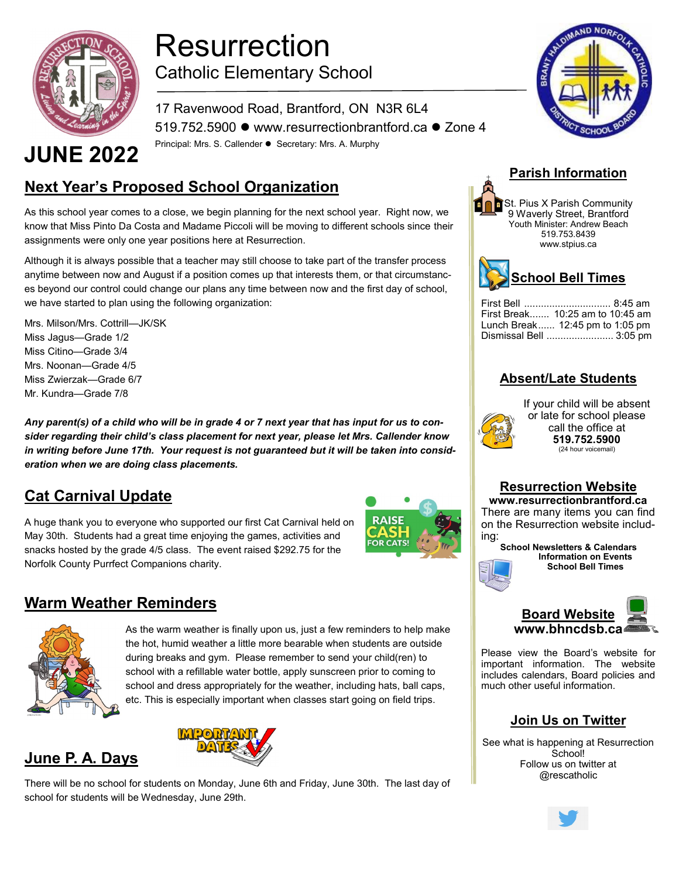

## Resurrection Catholic Elementary School

17 Ravenwood Road, Brantford, ON N3R 6L4 519.752.5900 ⚫ www.resurrectionbrantford.ca ⚫ Zone 4 JUNE 2022 Principal: Mrs. S. Callender • Secretary: Mrs. A. Murphy

### **Next Year's Proposed School Organization**

As this school year comes to a close, we begin planning for the next school year. Right now, we know that Miss Pinto Da Costa and Madame Piccoli will be moving to different schools since their assignments were only one year positions here at Resurrection.

Although it is always possible that a teacher may still choose to take part of the transfer process anytime between now and August if a position comes up that interests them, or that circumstances beyond our control could change our plans any time between now and the first day of school, we have started to plan using the following organization:

Mrs. Milson/Mrs. Cottrill—JK/SK Miss Jagus—Grade 1/2 Miss Citino—Grade 3/4 Mrs. Noonan—Grade 4/5 Miss Zwierzak—Grade 6/7 Mr. Kundra—Grade 7/8

*Any parent(s) of a child who will be in grade 4 or 7 next year that has input for us to consider regarding their child's class placement for next year, please let Mrs. Callender know in writing before June 17th. Your request is not guaranteed but it will be taken into consideration when we are doing class placements.*

#### **Cat Carnival Update**

A huge thank you to everyone who supported our first Cat Carnival held on May 30th. Students had a great time enjoying the games, activities and snacks hosted by the grade 4/5 class. The event raised \$292.75 for the Norfolk County Purrfect Companions charity.



#### **Warm Weather Reminders**



**June P. A. Days**

As the warm weather is finally upon us, just a few reminders to help make the hot, humid weather a little more bearable when students are outside during breaks and gym. Please remember to send your child(ren) to school with a refillable water bottle, apply sunscreen prior to coming to school and dress appropriately for the weather, including hats, ball caps, etc. This is especially important when classes start going on field trips.



There will be no school for students on Monday, June 6th and Friday, June 30th. The last day of school for students will be Wednesday, June 29th.



#### **Parish Information**

St. Pius X Parish Community 9 Waverly Street, Brantford Youth Minister: Andrew Beach 519.753.8439 www.stpius.ca



| First Break 10:25 am to 10:45 am    |
|-------------------------------------|
| Lunch Break $12:45$ pm to $1:05$ pm |
| Dismissal Bell  3:05 pm             |

#### **Absent/Late Students**



If your child will be absent or late for school please call the office at **519.752.5900** (24 hour voicemail)

#### **Resurrection Website**

**www.resurrectionbrantford.ca** There are many items you can find on the Resurrection website including:

**School Newsletters & Calendars Information on Events School Bell Times**



Please view the Board's website for important information. The website includes calendars, Board policies and much other useful information.

#### **Join Us on Twitter**

See what is happening at Resurrection School! Follow us on twitter at @rescatholic

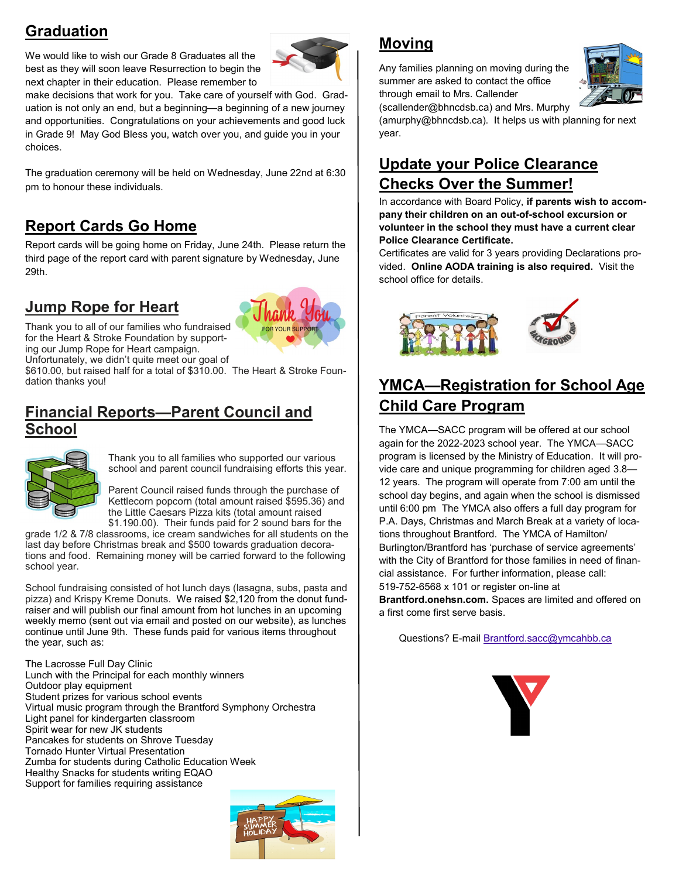#### **Graduation**

We would like to wish our Grade 8 Graduates all the best as they will soon leave Resurrection to begin the next chapter in their education. Please remember to



make decisions that work for you. Take care of yourself with God. Graduation is not only an end, but a beginning—a beginning of a new journey and opportunities. Congratulations on your achievements and good luck in Grade 9! May God Bless you, watch over you, and guide you in your choices.

The graduation ceremony will be held on Wednesday, June 22nd at 6:30 pm to honour these individuals.

#### **Report Cards Go Home**

Report cards will be going home on Friday, June 24th. Please return the third page of the report card with parent signature by Wednesday, June 29th.

#### **Jump Rope for Heart**



Thank you to all of our families who fundraised for the Heart & Stroke Foundation by supporting our Jump Rope for Heart campaign. Unfortunately, we didn't quite meet our goal of

\$610.00, but raised half for a total of \$310.00. The Heart & Stroke Foundation thanks you!

#### **Financial Reports—Parent Council and School**



Thank you to all families who supported our various school and parent council fundraising efforts this year.

Parent Council raised funds through the purchase of Kettlecorn popcorn (total amount raised \$595.36) and the Little Caesars Pizza kits (total amount raised \$1.190.00). Their funds paid for 2 sound bars for the

grade 1/2 & 7/8 classrooms, ice cream sandwiches for all students on the last day before Christmas break and \$500 towards graduation decorations and food. Remaining money will be carried forward to the following school year.

School fundraising consisted of hot lunch days (lasagna, subs, pasta and pizza) and Krispy Kreme Donuts. We raised \$2,120 from the donut fundraiser and will publish our final amount from hot lunches in an upcoming weekly memo (sent out via email and posted on our website), as lunches continue until June 9th. These funds paid for various items throughout the year, such as:

The Lacrosse Full Day Clinic Lunch with the Principal for each monthly winners Outdoor play equipment Student prizes for various school events Virtual music program through the Brantford Symphony Orchestra Light panel for kindergarten classroom Spirit wear for new JK students Pancakes for students on Shrove Tuesday Tornado Hunter Virtual Presentation Zumba for students during Catholic Education Week Healthy Snacks for students writing EQAO Support for families requiring assistance



#### **Moving**

Any families planning on moving during the summer are asked to contact the office through email to Mrs. Callender (scallender@bhncdsb.ca) and Mrs. Murphy



(amurphy@bhncdsb.ca). It helps us with planning for next year.

#### **Update your Police Clearance Checks Over the Summer!**

In accordance with Board Policy, **if parents wish to accompany their children on an out-of-school excursion or volunteer in the school they must have a current clear Police Clearance Certificate.**

Certificates are valid for 3 years providing Declarations provided. **Online AODA training is also required.** Visit the school office for details.



#### **YMCA—Registration for School Age Child Care Program**

The YMCA—SACC program will be offered at our school again for the 2022-2023 school year. The YMCA—SACC program is licensed by the Ministry of Education. It will provide care and unique programming for children aged 3.8— 12 years. The program will operate from 7:00 am until the school day begins, and again when the school is dismissed until 6:00 pm The YMCA also offers a full day program for P.A. Days, Christmas and March Break at a variety of locations throughout Brantford. The YMCA of Hamilton/ Burlington/Brantford has 'purchase of service agreements' with the City of Brantford for those families in need of financial assistance. For further information, please call: 519-752-6568 x 101 or register on-line at

**Brantford.onehsn.com.** Spaces are limited and offered on a first come first serve basis.

Questions? E-mail [Brantford.sacc@ymcahbb.ca](mailto:Brantford.sacc@ymcahbb.ca)